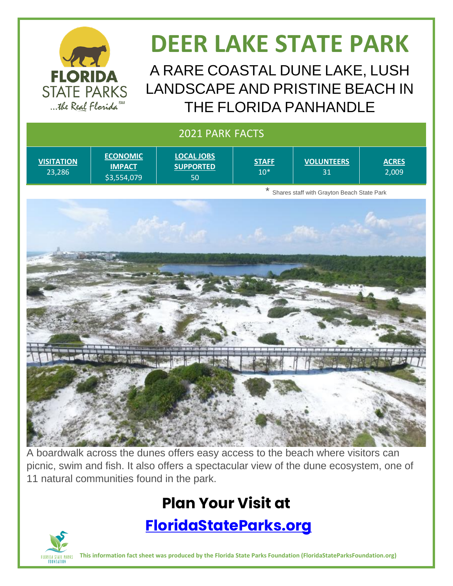

# **DEER LAKE STATE PARK**

A RARE COASTAL DUNE LAKE, LUSH LANDSCAPE AND PRISTINE BEACH IN THE FLORIDA PANHANDLE

| 2021 PARK FACTS             |                                                 |                                                       |                             |                         |                       |  |
|-----------------------------|-------------------------------------------------|-------------------------------------------------------|-----------------------------|-------------------------|-----------------------|--|
| <b>VISITATION</b><br>23,286 | <b>ECONOMIC</b><br><b>IMPACT</b><br>\$3,554,079 | <b>LOCAL JOBS</b><br><b>SUPPORTED</b><br>50           | <b>STAFF</b><br>$10^{\ast}$ | <b>VOLUNTEERS</b><br>31 | <b>ACRES</b><br>2,009 |  |
|                             |                                                 | $\star$<br>Shares staff with Grayton Beach State Park |                             |                         |                       |  |
|                             |                                                 |                                                       |                             |                         |                       |  |
|                             |                                                 |                                                       |                             |                         |                       |  |

A boardwalk across the dunes offers easy access to the beach where visitors can picnic, swim and fish. It also offers a spectacular view of the dune ecosystem, one of 11 natural communities found in the park.

## **Plan Your Visit at**

#### **<FloridaStateParks.org>**



**This information fact sheet was produced by the Florida State Parks Foundation (FloridaStateParksFoundation.org)**